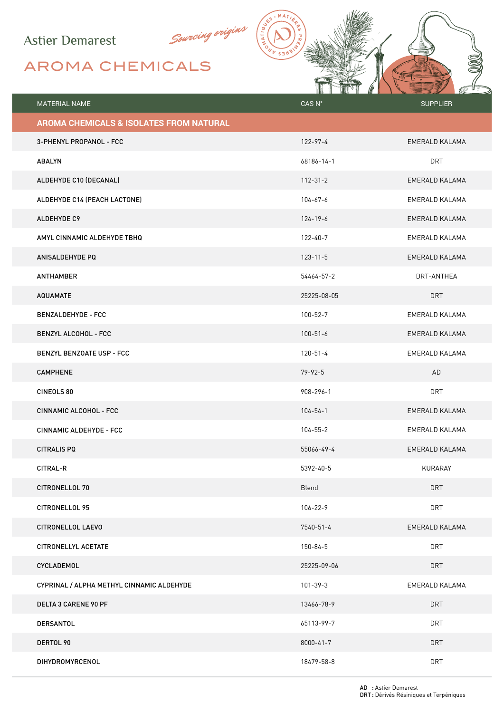## **Astier Demarest**

## AROMA CHEMICALS

|                                           | <b>TALLA</b>   | 1F              |
|-------------------------------------------|----------------|-----------------|
| MATERIAL NAME                             | CAS N°         | <b>SUPPLIER</b> |
| AROMA CHEMICALS & ISOLATES FROM NATURAL   |                |                 |
| 3-PHENYL PROPANOL - FCC                   | 122-97-4       | EMERALD KALAMA  |
| <b>ABALYN</b>                             | 68186-14-1     | <b>DRT</b>      |
| ALDEHYDE C10 (DECANAL)                    | $112 - 31 - 2$ | EMERALD KALAMA  |
| ALDEHYDE C14 (PEACH LACTONE)              | $104 - 67 - 6$ | EMERALD KALAMA  |
| ALDEHYDE C9                               | $124 - 19 - 6$ | EMERALD KALAMA  |
| AMYL CINNAMIC ALDEHYDE TBHQ               | $122 - 40 - 7$ | EMERALD KALAMA  |
| ANISALDEHYDE PQ                           | $123 - 11 - 5$ | EMERALD KALAMA  |
| <b>ANTHAMBER</b>                          | 54464-57-2     | DRT-ANTHEA      |
| <b>AQUAMATE</b>                           | 25225-08-05    | <b>DRT</b>      |
| <b>BENZALDEHYDE - FCC</b>                 | $100 - 52 - 7$ | EMERALD KALAMA  |
| <b>BENZYL ALCOHOL - FCC</b>               | $100 - 51 - 6$ | EMERALD KALAMA  |
| <b>BENZYL BENZOATE USP - FCC</b>          | $120 - 51 - 4$ | EMERALD KALAMA  |
| <b>CAMPHENE</b>                           | $79 - 92 - 5$  | AD              |
| CINEOLS 80                                | 908-296-1      | <b>DRT</b>      |
| CINNAMIC ALCOHOL - FCC                    | $104 - 54 - 1$ | EMERALD KALAMA  |
| CINNAMIC ALDEHYDE - FCC                   | $104 - 55 - 2$ | EMERALD KALAMA  |
| <b>CITRALIS PQ</b>                        | 55066-49-4     | EMERALD KALAMA  |
| <b>CITRAL-R</b>                           | 5392-40-5      | KURARAY         |
| CITRONELLOL 70                            | Blend          | <b>DRT</b>      |
| CITRONELLOL 95                            | $106 - 22 - 9$ | <b>DRT</b>      |
| CITRONELLOL LAEVO                         | 7540-51-4      | EMERALD KALAMA  |
| <b>CITRONELLYL ACETATE</b>                | $150 - 84 - 5$ | <b>DRT</b>      |
| CYCLADEMOL                                | 25225-09-06    | <b>DRT</b>      |
| CYPRINAL / ALPHA METHYL CINNAMIC ALDEHYDE | $101 - 39 - 3$ | EMERALD KALAMA  |
| <b>DELTA 3 CARENE 90 PF</b>               | 13466-78-9     | <b>DRT</b>      |
| DERSANTOL                                 | 65113-99-7     | <b>DRT</b>      |
| DERTOL 90                                 | 8000-41-7      | <b>DRT</b>      |
| DIHYDROMYRCENOL                           | 18479-58-8     | <b>DRT</b>      |

 $. MA$ 

Sourcing origins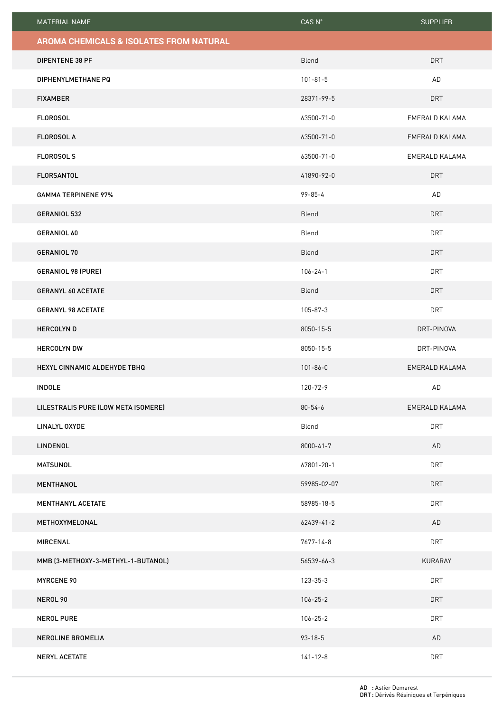| MATERIAL NAME                           | $CAS$ $N^{\circ}$ | <b>SUPPLIER</b> |
|-----------------------------------------|-------------------|-----------------|
| AROMA CHEMICALS & ISOLATES FROM NATURAL |                   |                 |
| <b>DIPENTENE 38 PF</b>                  | Blend             | <b>DRT</b>      |
| DIPHENYLMETHANE PQ                      | $101 - 81 - 5$    | AD              |
| <b>FIXAMBER</b>                         | 28371-99-5        | <b>DRT</b>      |
| <b>FLOROSOL</b>                         | 63500-71-0        | EMERALD KALAMA  |
| <b>FLOROSOL A</b>                       | 63500-71-0        | EMERALD KALAMA  |
| <b>FLOROSOL S</b>                       | 63500-71-0        | EMERALD KALAMA  |
| <b>FLORSANTOL</b>                       | 41890-92-0        | <b>DRT</b>      |
| <b>GAMMA TERPINENE 97%</b>              | $99 - 85 - 4$     | AD              |
| GERANIOL 532                            | Blend             | <b>DRT</b>      |
| GERANIOL 60                             | Blend             | <b>DRT</b>      |
| GERANIOL 70                             | Blend             | <b>DRT</b>      |
| GERANIOL 98 (PURE)                      | $106 - 24 - 1$    | DRT             |
| <b>GERANYL 60 ACETATE</b>               | Blend             | <b>DRT</b>      |
| <b>GERANYL 98 ACETATE</b>               | 105-87-3          | <b>DRT</b>      |
| <b>HERCOLYND</b>                        | 8050-15-5         | DRT-PINOVA      |
| <b>HERCOLYN DW</b>                      | 8050-15-5         | DRT-PINOVA      |
| HEXYL CINNAMIC ALDEHYDE TBHQ            | $101 - 86 - 0$    | EMERALD KALAMA  |
| <b>INDOLE</b>                           | 120-72-9          | AD              |
| LILESTRALIS PURE (LOW META ISOMERE)     | $80 - 54 - 6$     | EMERALD KALAMA  |
| LINALYL OXYDE                           | Blend             | <b>DRT</b>      |
| LINDENOL                                | $8000 - 41 - 7$   | AD              |
| <b>MATSUNOL</b>                         | 67801-20-1        | <b>DRT</b>      |
| <b>MENTHANOL</b>                        | 59985-02-07       | <b>DRT</b>      |
| <b>MENTHANYL ACETATE</b>                | 58985-18-5        | <b>DRT</b>      |
| METHOXYMELONAL                          | 62439-41-2        | AD              |
| MIRCENAL                                | $7677 - 14 - 8$   | <b>DRT</b>      |
| MMB (3-METHOXY-3-METHYL-1-BUTANOL)      | 56539-66-3        | KURARAY         |
| <b>MYRCENE 90</b>                       | 123-35-3          | <b>DRT</b>      |
| NEROL 90                                | $106 - 25 - 2$    | <b>DRT</b>      |
| <b>NEROL PURE</b>                       | $106 - 25 - 2$    | <b>DRT</b>      |
| NEROLINE BROMELIA                       | $93 - 18 - 5$     | AD              |
| <b>NERYL ACETATE</b>                    | $141 - 12 - 8$    | <b>DRT</b>      |